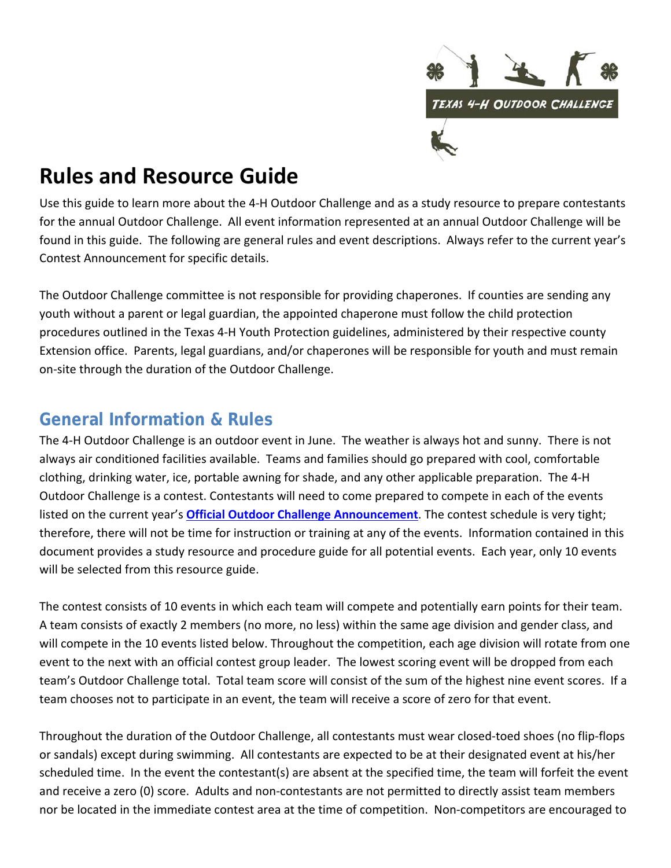

# **Rules and Resource Guide**

Use this guide to learn more about the 4‐H Outdoor Challenge and as a study resource to prepare contestants for the annual Outdoor Challenge. All event information represented at an annual Outdoor Challenge will be found in this guide. The following are general rules and event descriptions. Always refer to the current year's Contest Announcement for specific details.

The Outdoor Challenge committee is not responsible for providing chaperones. If counties are sending any youth without a parent or legal guardian, the appointed chaperone must follow the child protection procedures outlined in the Texas 4‐H Youth Protection guidelines, administered by their respective county Extension office. Parents, legal guardians, and/or chaperones will be responsible for youth and must remain on‐site through the duration of the Outdoor Challenge.

# **General Information & Rules**

The 4‐H Outdoor Challenge is an outdoor event in June. The weather is always hot and sunny. There is not always air conditioned facilities available. Teams and families should go prepared with cool, comfortable clothing, drinking water, ice, portable awning for shade, and any other applicable preparation. The 4‐H Outdoor Challenge is a contest. Contestants will need to come prepared to compete in each of the events listed on the current year's **Official Outdoor Challenge Announcement**. The contest schedule is very tight; therefore, there will not be time for instruction or training at any of the events. Information contained in this document provides a study resource and procedure guide for all potential events. Each year, only 10 events will be selected from this resource guide.

The contest consists of 10 events in which each team will compete and potentially earn points for their team. A team consists of exactly 2 members (no more, no less) within the same age division and gender class, and will compete in the 10 events listed below. Throughout the competition, each age division will rotate from one event to the next with an official contest group leader. The lowest scoring event will be dropped from each team's Outdoor Challenge total. Total team score will consist of the sum of the highest nine event scores. If a team chooses not to participate in an event, the team will receive a score of zero for that event.

Throughout the duration of the Outdoor Challenge, all contestants must wear closed‐toed shoes (no flip‐flops or sandals) except during swimming. All contestants are expected to be at their designated event at his/her scheduled time. In the event the contestant(s) are absent at the specified time, the team will forfeit the event and receive a zero (0) score. Adults and non-contestants are not permitted to directly assist team members nor be located in the immediate contest area at the time of competition. Non‐competitors are encouraged to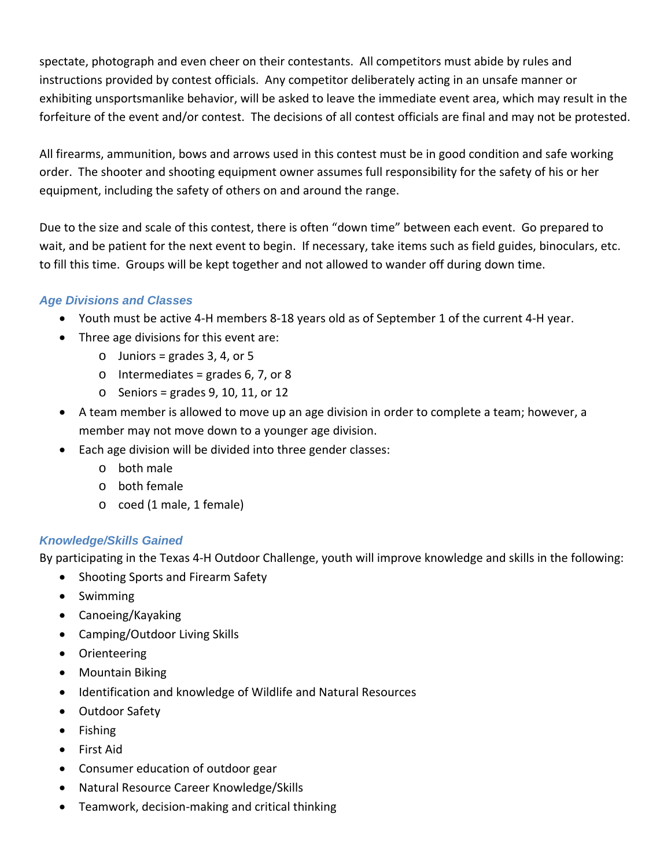spectate, photograph and even cheer on their contestants. All competitors must abide by rules and instructions provided by contest officials. Any competitor deliberately acting in an unsafe manner or exhibiting unsportsmanlike behavior, will be asked to leave the immediate event area, which may result in the forfeiture of the event and/or contest. The decisions of all contest officials are final and may not be protested.

All firearms, ammunition, bows and arrows used in this contest must be in good condition and safe working order. The shooter and shooting equipment owner assumes full responsibility for the safety of his or her equipment, including the safety of others on and around the range.

Due to the size and scale of this contest, there is often "down time" between each event. Go prepared to wait, and be patient for the next event to begin. If necessary, take items such as field guides, binoculars, etc. to fill this time. Groups will be kept together and not allowed to wander off during down time.

# *Age Divisions and Classes*

- Youth must be active 4‐H members 8‐18 years old as of September 1 of the current 4‐H year.
- Three age divisions for this event are:
	- $\circ$  Juniors = grades 3, 4, or 5
	- $\circ$  Intermediates = grades 6, 7, or 8
	- $\circ$  Seniors = grades 9, 10, 11, or 12
- A team member is allowed to move up an age division in order to complete a team; however, a member may not move down to a younger age division.
- Each age division will be divided into three gender classes:
	- o both male
	- o both female
	- o coed (1 male, 1 female)

# *Knowledge/Skills Gained*

By participating in the Texas 4‐H Outdoor Challenge, youth will improve knowledge and skills in the following:

- Shooting Sports and Firearm Safety
- Swimming
- Canoeing/Kayaking
- Camping/Outdoor Living Skills
- Orienteering
- Mountain Biking
- Identification and knowledge of Wildlife and Natural Resources
- Outdoor Safety
- Fishing
- First Aid
- Consumer education of outdoor gear
- Natural Resource Career Knowledge/Skills
- Teamwork, decision‐making and critical thinking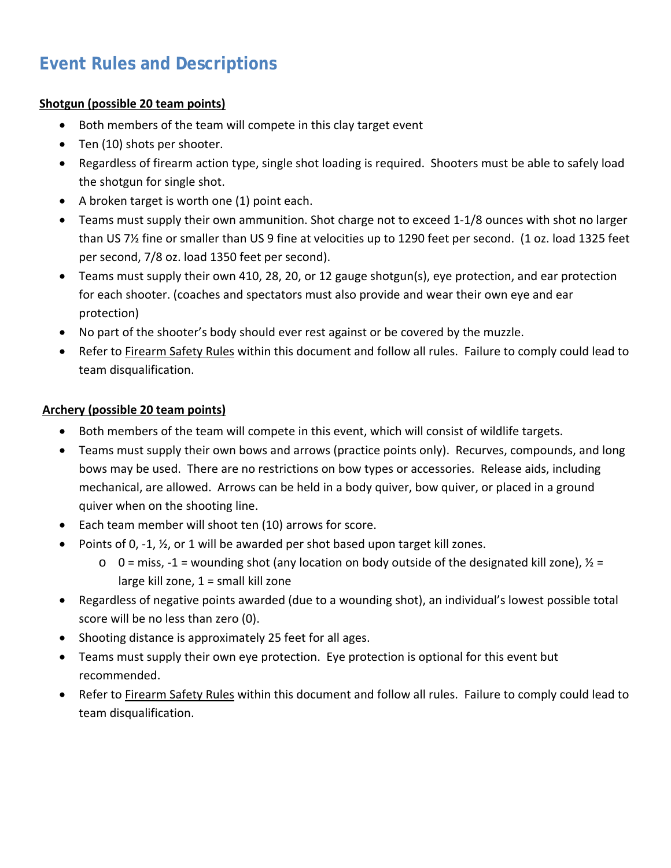# **Event Rules and Descriptions**

# **Shotgun (possible 20 team points)**

- Both members of the team will compete in this clay target event
- Ten (10) shots per shooter.
- Regardless of firearm action type, single shot loading is required. Shooters must be able to safely load the shotgun for single shot.
- A broken target is worth one (1) point each.
- Teams must supply their own ammunition. Shot charge not to exceed 1‐1/8 ounces with shot no larger than US 7½ fine or smaller than US 9 fine at velocities up to 1290 feet per second. (1 oz. load 1325 feet per second, 7/8 oz. load 1350 feet per second).
- Teams must supply their own 410, 28, 20, or 12 gauge shotgun(s), eye protection, and ear protection for each shooter. (coaches and spectators must also provide and wear their own eye and ear protection)
- No part of the shooter's body should ever rest against or be covered by the muzzle.
- Refer to Firearm Safety Rules within this document and follow all rules. Failure to comply could lead to team disqualification.

# **Archery (possible 20 team points)**

- Both members of the team will compete in this event, which will consist of wildlife targets.
- Teams must supply their own bows and arrows (practice points only). Recurves, compounds, and long bows may be used. There are no restrictions on bow types or accessories. Release aids, including mechanical, are allowed. Arrows can be held in a body quiver, bow quiver, or placed in a ground quiver when on the shooting line.
- Each team member will shoot ten (10) arrows for score.
- Points of 0,  $-1$ ,  $\frac{1}{2}$ , or 1 will be awarded per shot based upon target kill zones.
	- $\circ$  0 = miss, -1 = wounding shot (any location on body outside of the designated kill zone),  $\frac{1}{2}$  = large kill zone,  $1 =$  small kill zone
- Regardless of negative points awarded (due to a wounding shot), an individual's lowest possible total score will be no less than zero (0).
- Shooting distance is approximately 25 feet for all ages.
- Teams must supply their own eye protection. Eye protection is optional for this event but recommended.
- Refer to Firearm Safety Rules within this document and follow all rules. Failure to comply could lead to team disqualification.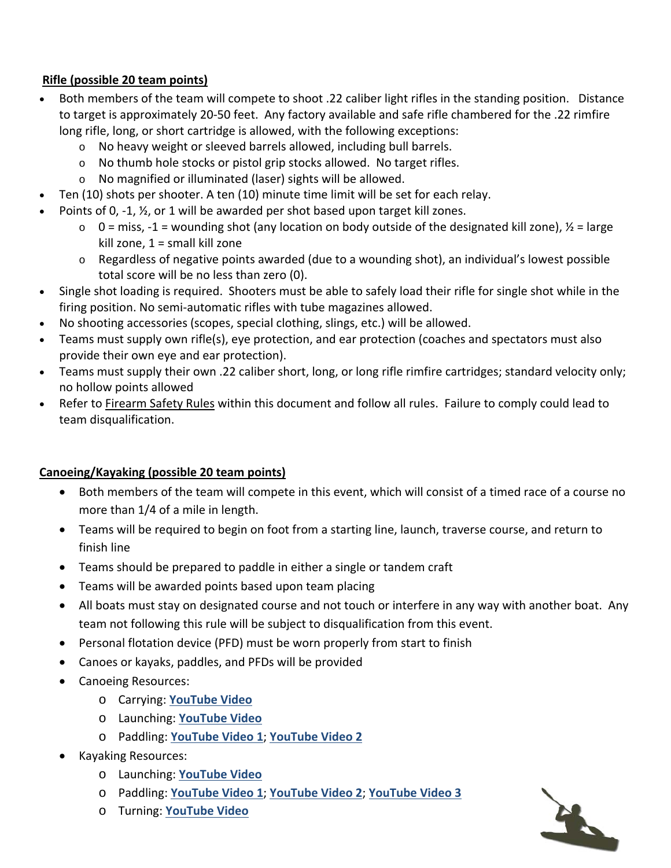# **Rifle (possible 20 team points)**

- Both members of the team will compete to shoot .22 caliber light rifles in the standing position. Distance to target is approximately 20‐50 feet. Any factory available and safe rifle chambered for the .22 rimfire long rifle, long, or short cartridge is allowed, with the following exceptions:
	- o No heavy weight or sleeved barrels allowed, including bull barrels.
	- o No thumb hole stocks or pistol grip stocks allowed. No target rifles.
	- o No magnified or illuminated (laser) sights will be allowed.
- Ten (10) shots per shooter. A ten (10) minute time limit will be set for each relay.
	- Points of 0, -1,  $\frac{1}{2}$ , or 1 will be awarded per shot based upon target kill zones.
		- $\circ$  0 = miss, -1 = wounding shot (any location on body outside of the designated kill zone),  $\frac{1}{2}$  = large kill zone, 1 = small kill zone
		- o Regardless of negative points awarded (due to a wounding shot), an individual's lowest possible total score will be no less than zero (0).
- Single shot loading is required. Shooters must be able to safely load their rifle for single shot while in the firing position. No semi‐automatic rifles with tube magazines allowed.
- No shooting accessories (scopes, special clothing, slings, etc.) will be allowed.
- Teams must supply own rifle(s), eye protection, and ear protection (coaches and spectators must also provide their own eye and ear protection).
- Teams must supply their own .22 caliber short, long, or long rifle rimfire cartridges; standard velocity only; no hollow points allowed
- Refer to Firearm Safety Rules within this document and follow all rules. Failure to comply could lead to team disqualification.

# **Canoeing/Kayaking (possible 20 team points)**

- Both members of the team will compete in this event, which will consist of a timed race of a course no more than 1/4 of a mile in length.
- Teams will be required to begin on foot from a starting line, launch, traverse course, and return to finish line
- Teams should be prepared to paddle in either a single or tandem craft
- Teams will be awarded points based upon team placing
- All boats must stay on designated course and not touch or interfere in any way with another boat. Any team not following this rule will be subject to disqualification from this event.
- Personal flotation device (PFD) must be worn properly from start to finish
- Canoes or kayaks, paddles, and PFDs will be provided
- Canoeing Resources:
	- o Carrying: **YouTube Video**
	- o Launching: **YouTube Video**
	- o Paddling: **YouTube Video 1**; **YouTube Video 2**
- Kayaking Resources:
	- o Launching: **YouTube Video**
	- o Paddling: **YouTube Video 1**; **YouTube Video 2**; **YouTube Video 3**
	- o Turning: **YouTube Video**

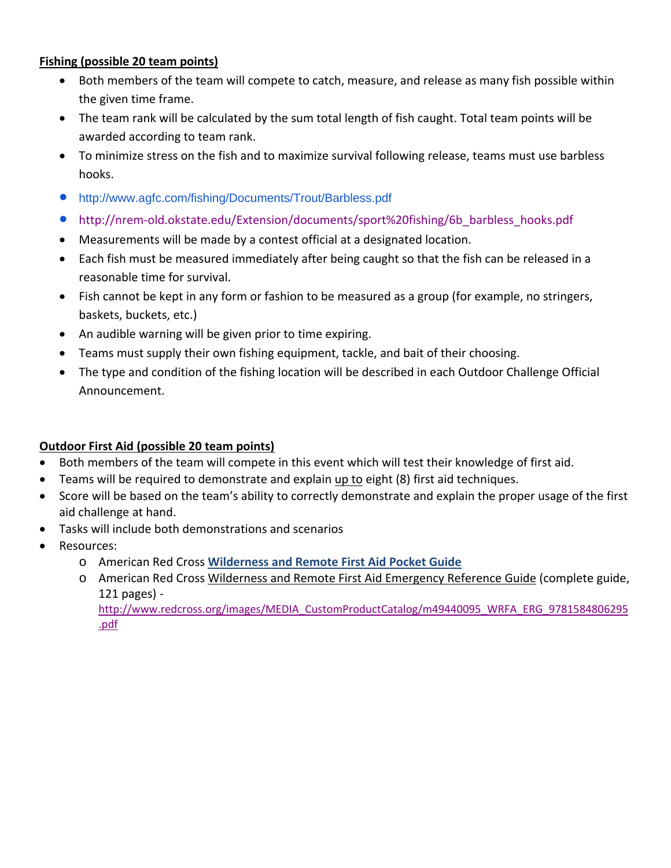## **Fishing (possible 20 team points)**

- Both members of the team will compete to catch, measure, and release as many fish possible within the given time frame.
- The team rank will be calculated by the sum total length of fish caught. Total team points will be awarded according to team rank.
- To minimize stress on the fish and to maximize survival following release, teams must use barbless hooks.
- http://www.agfc.com/fishing/Documents/Trout/Barbless.pdf
- http://nrem-old.okstate.edu/Extension/documents/sport%20fishing/6b\_barbless\_hooks.pdf
- Measurements will be made by a contest official at a designated location.
- Each fish must be measured immediately after being caught so that the fish can be released in a reasonable time for survival.
- Fish cannot be kept in any form or fashion to be measured as a group (for example, no stringers, baskets, buckets, etc.)
- An audible warning will be given prior to time expiring.
- Teams must supply their own fishing equipment, tackle, and bait of their choosing.
- The type and condition of the fishing location will be described in each Outdoor Challenge Official Announcement.

# **Outdoor First Aid (possible 20 team points)**

- Both members of the team will compete in this event which will test their knowledge of first aid.
- Teams will be required to demonstrate and explain up to eight (8) first aid techniques.
- Score will be based on the team's ability to correctly demonstrate and explain the proper usage of the first aid challenge at hand.
- Tasks will include both demonstrations and scenarios
- Resources:
	- o American Red Cross **Wilderness and Remote First Aid Pocket Guide**
	- o American Red Cross Wilderness and Remote First Aid Emergency Reference Guide (complete guide, 121 pages) ‐ http://www.redcross.org/images/MEDIA\_CustomProductCatalog/m49440095\_WRFA\_ERG\_9781584806295 .pdf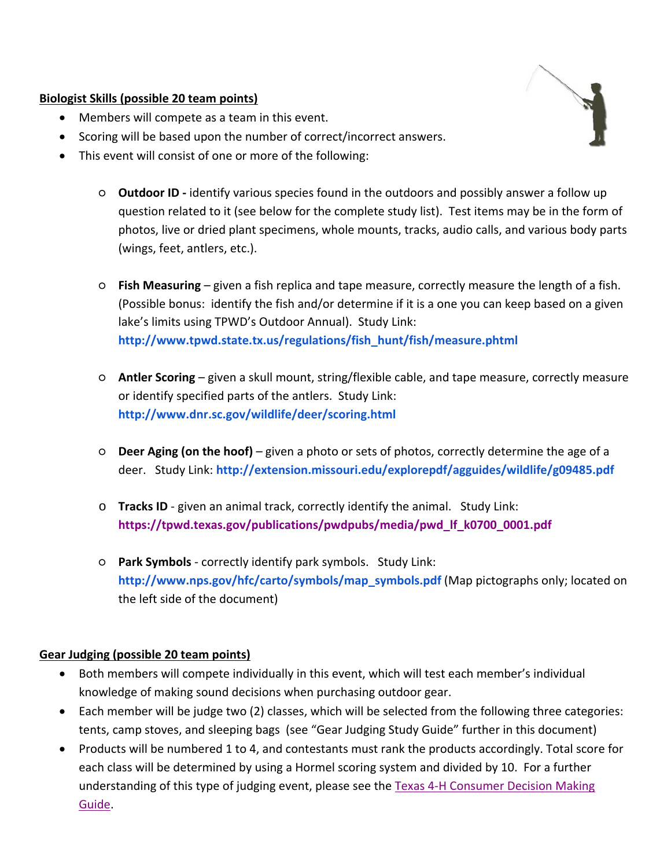## **Biologist Skills (possible 20 team points)**

- Members will compete as a team in this event.
- Scoring will be based upon the number of correct/incorrect answers.
- This event will consist of one or more of the following:
	- **Outdoor ID ‐** identify various species found in the outdoors and possibly answer a follow up question related to it (see below for the complete study list). Test items may be in the form of photos, live or dried plant specimens, whole mounts, tracks, audio calls, and various body parts (wings, feet, antlers, etc.).
	- **Fish Measuring** given a fish replica and tape measure, correctly measure the length of a fish. (Possible bonus: identify the fish and/or determine if it is a one you can keep based on a given lake's limits using TPWD's Outdoor Annual). Study Link: **http://www.tpwd.state.tx.us/regulations/fish\_hunt/fish/measure.phtml**
	- **Antler Scoring** given a skull mount, string/flexible cable, and tape measure, correctly measure or identify specified parts of the antlers. Study Link: **http://www.dnr.sc.gov/wildlife/deer/scoring.html**
	- **Deer Aging (on the hoof)** given a photo or sets of photos, correctly determine the age of a deer. Study Link: **http://extension.missouri.edu/explorepdf/agguides/wildlife/g09485.pdf**
	- o **Tracks ID** ‐ given an animal track, correctly identify the animal. Study Link: **https://tpwd.texas.gov/publications/pwdpubs/media/pwd\_lf\_k0700\_0001.pdf**
	- **Park Symbols** ‐ correctly identify park symbols. Study Link: **http://www.nps.gov/hfc/carto/symbols/map\_symbols.pdf** (Map pictographs only; located on the left side of the document)

# **Gear Judging (possible 20 team points)**

- Both members will compete individually in this event, which will test each member's individual knowledge of making sound decisions when purchasing outdoor gear.
- Each member will be judge two (2) classes, which will be selected from the following three categories: tents, camp stoves, and sleeping bags (see "Gear Judging Study Guide" further in this document)
- Products will be numbered 1 to 4, and contestants must rank the products accordingly. Total score for each class will be determined by using a Hormel scoring system and divided by 10. For a further understanding of this type of judging event, please see the Texas 4-H Consumer Decision Making Guide.

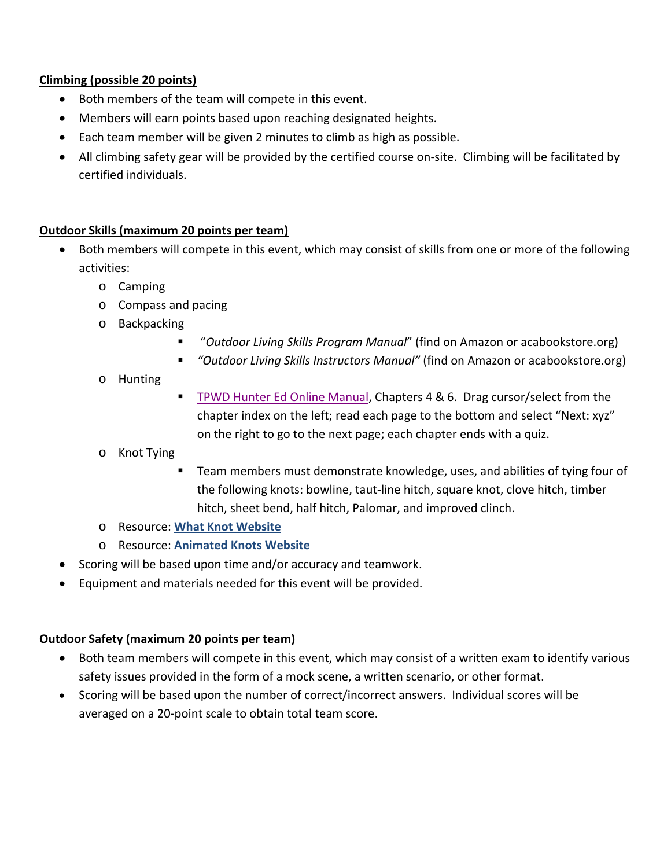# **Climbing (possible 20 points)**

- Both members of the team will compete in this event.
- Members will earn points based upon reaching designated heights.
- Each team member will be given 2 minutes to climb as high as possible.
- All climbing safety gear will be provided by the certified course on-site. Climbing will be facilitated by certified individuals.

# **Outdoor Skills (maximum 20 points per team)**

- Both members will compete in this event, which may consist of skills from one or more of the following activities:
	- o Camping
	- o Compass and pacing
	- o Backpacking
		- "*Outdoor Living Skills Program Manual*" (find on Amazon or acabookstore.org)
		- *"Outdoor Living Skills Instructors Manual"* (find on Amazon or acabookstore.org)
	- o Hunting
- TPWD Hunter Ed Online Manual, Chapters 4 & 6. Drag cursor/select from the chapter index on the left; read each page to the bottom and select "Next: xyz" on the right to go to the next page; each chapter ends with a quiz.
- o Knot Tying
	- Team members must demonstrate knowledge, uses, and abilities of tying four of the following knots: bowline, taut‐line hitch, square knot, clove hitch, timber hitch, sheet bend, half hitch, Palomar, and improved clinch.
- o Resource: **What Knot Website**
- o Resource: **Animated Knots Website**
- Scoring will be based upon time and/or accuracy and teamwork.
- Equipment and materials needed for this event will be provided.

# **Outdoor Safety (maximum 20 points per team)**

- Both team members will compete in this event, which may consist of a written exam to identify various safety issues provided in the form of a mock scene, a written scenario, or other format.
- Scoring will be based upon the number of correct/incorrect answers. Individual scores will be averaged on a 20‐point scale to obtain total team score.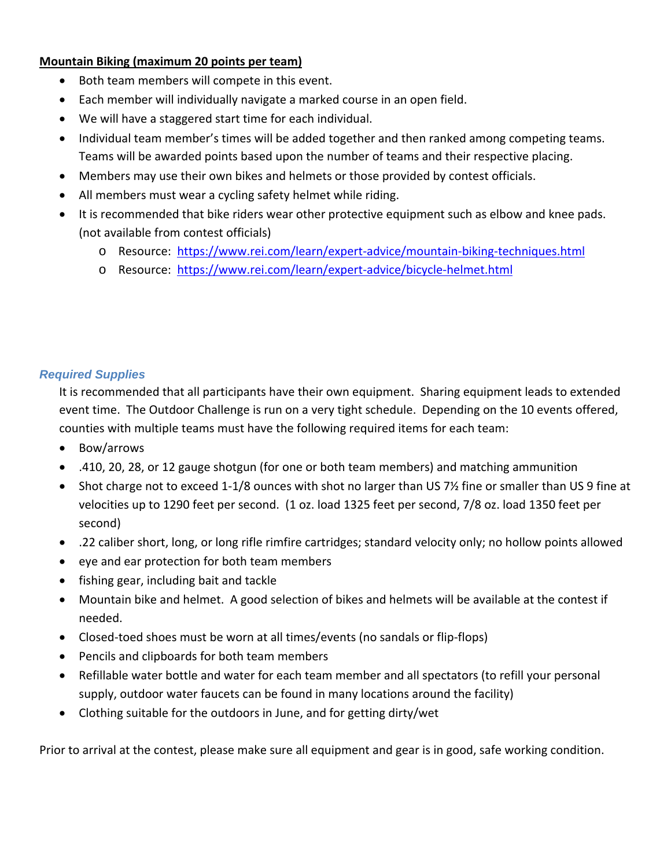## **Mountain Biking (maximum 20 points per team)**

- Both team members will compete in this event.
- Each member will individually navigate a marked course in an open field.
- We will have a staggered start time for each individual.
- Individual team member's times will be added together and then ranked among competing teams. Teams will be awarded points based upon the number of teams and their respective placing.
- Members may use their own bikes and helmets or those provided by contest officials.
- All members must wear a cycling safety helmet while riding.
- It is recommended that bike riders wear other protective equipment such as elbow and knee pads. (not available from contest officials)
	- o Resource: https://www.rei.com/learn/expert‐advice/mountain‐biking‐techniques.html
	- o Resource: https://www.rei.com/learn/expert‐advice/bicycle‐helmet.html

## *Required Supplies*

It is recommended that all participants have their own equipment. Sharing equipment leads to extended event time. The Outdoor Challenge is run on a very tight schedule. Depending on the 10 events offered, counties with multiple teams must have the following required items for each team:

- Bow/arrows
- .410, 20, 28, or 12 gauge shotgun (for one or both team members) and matching ammunition
- Shot charge not to exceed 1-1/8 ounces with shot no larger than US 7½ fine or smaller than US 9 fine at velocities up to 1290 feet per second. (1 oz. load 1325 feet per second, 7/8 oz. load 1350 feet per second)
- .22 caliber short, long, or long rifle rimfire cartridges; standard velocity only; no hollow points allowed
- eye and ear protection for both team members
- fishing gear, including bait and tackle
- Mountain bike and helmet. A good selection of bikes and helmets will be available at the contest if needed.
- Closed-toed shoes must be worn at all times/events (no sandals or flip-flops)
- Pencils and clipboards for both team members
- Refillable water bottle and water for each team member and all spectators (to refill your personal supply, outdoor water faucets can be found in many locations around the facility)
- Clothing suitable for the outdoors in June, and for getting dirty/wet

Prior to arrival at the contest, please make sure all equipment and gear is in good, safe working condition.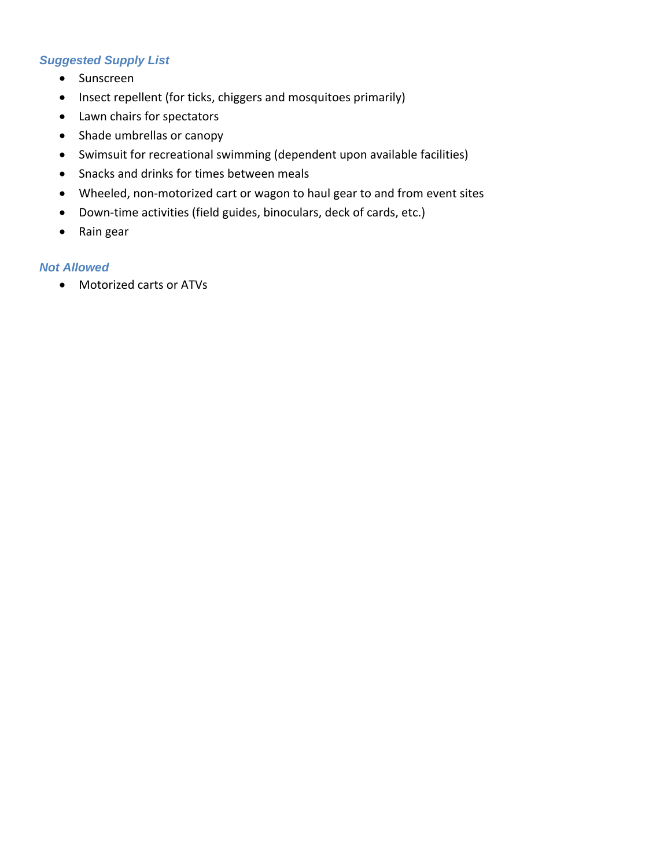# *Suggested Supply List*

- Sunscreen
- Insect repellent (for ticks, chiggers and mosquitoes primarily)
- Lawn chairs for spectators
- Shade umbrellas or canopy
- Swimsuit for recreational swimming (dependent upon available facilities)
- Snacks and drinks for times between meals
- Wheeled, non-motorized cart or wagon to haul gear to and from event sites
- Down-time activities (field guides, binoculars, deck of cards, etc.)
- Rain gear

## *Not Allowed*

Motorized carts or ATVs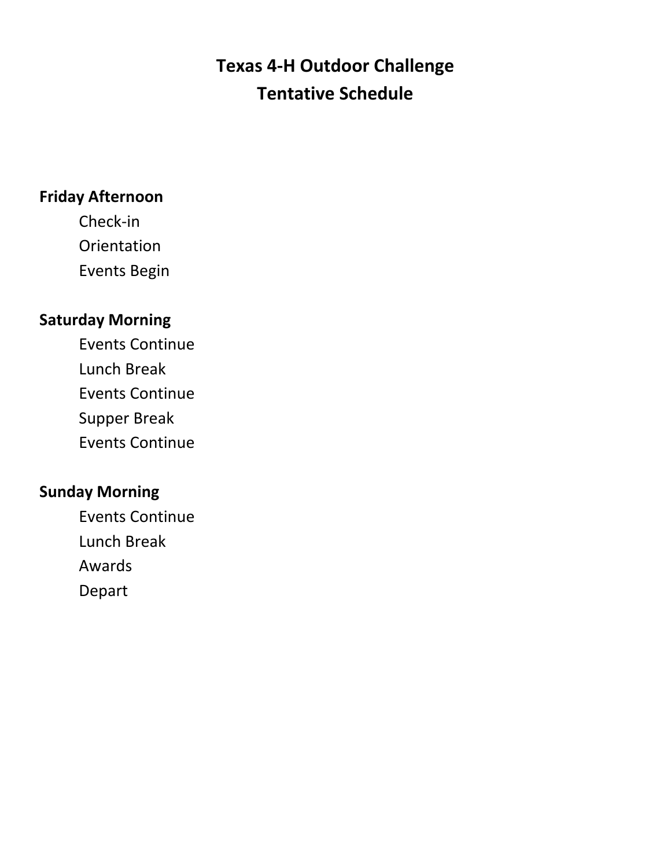# **Texas 4‐H Outdoor Challenge Tentative Schedule**

# **Friday Afternoon**

Check‐in **Orientation** Events Begin

# **Saturday Morning**

Events Continue Lunch Break Events Continue

Supper Break

Events Continue

# **Sunday Morning**

Events Continue Lunch Break Awards Depart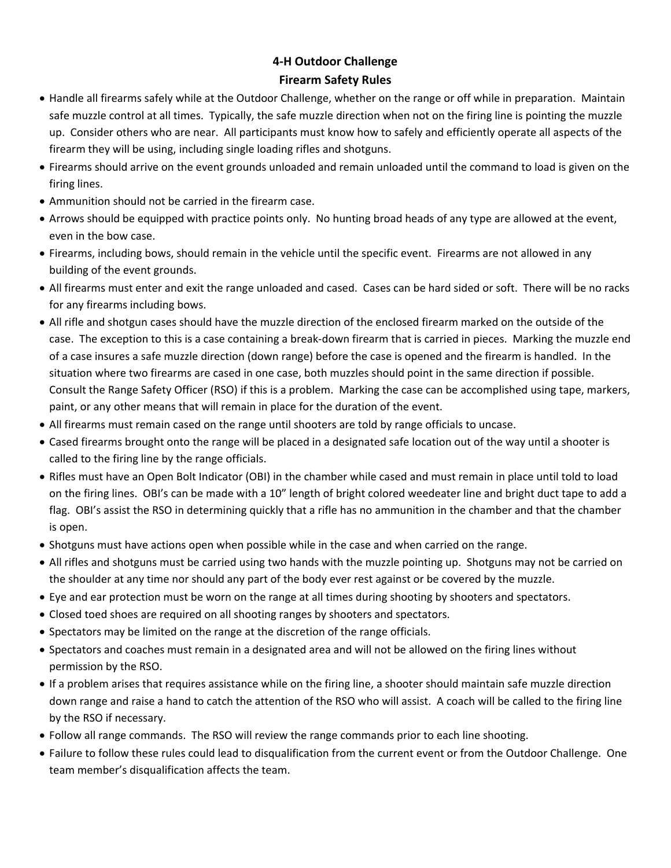# **4‐H Outdoor Challenge Firearm Safety Rules**

- Handle all firearms safely while at the Outdoor Challenge, whether on the range or off while in preparation. Maintain safe muzzle control at all times. Typically, the safe muzzle direction when not on the firing line is pointing the muzzle up. Consider others who are near. All participants must know how to safely and efficiently operate all aspects of the firearm they will be using, including single loading rifles and shotguns.
- Firearms should arrive on the event grounds unloaded and remain unloaded until the command to load is given on the firing lines.
- Ammunition should not be carried in the firearm case.
- Arrows should be equipped with practice points only. No hunting broad heads of any type are allowed at the event, even in the bow case.
- Firearms, including bows, should remain in the vehicle until the specific event. Firearms are not allowed in any building of the event grounds.
- All firearms must enter and exit the range unloaded and cased. Cases can be hard sided or soft. There will be no racks for any firearms including bows.
- All rifle and shotgun cases should have the muzzle direction of the enclosed firearm marked on the outside of the case. The exception to this is a case containing a break‐down firearm that is carried in pieces. Marking the muzzle end of a case insures a safe muzzle direction (down range) before the case is opened and the firearm is handled. In the situation where two firearms are cased in one case, both muzzles should point in the same direction if possible. Consult the Range Safety Officer (RSO) if this is a problem. Marking the case can be accomplished using tape, markers, paint, or any other means that will remain in place for the duration of the event.
- All firearms must remain cased on the range until shooters are told by range officials to uncase.
- Cased firearms brought onto the range will be placed in a designated safe location out of the way until a shooter is called to the firing line by the range officials.
- Rifles must have an Open Bolt Indicator (OBI) in the chamber while cased and must remain in place until told to load on the firing lines. OBI's can be made with a 10" length of bright colored weedeater line and bright duct tape to add a flag. OBI's assist the RSO in determining quickly that a rifle has no ammunition in the chamber and that the chamber is open.
- Shotguns must have actions open when possible while in the case and when carried on the range.
- All rifles and shotguns must be carried using two hands with the muzzle pointing up. Shotguns may not be carried on the shoulder at any time nor should any part of the body ever rest against or be covered by the muzzle.
- Eye and ear protection must be worn on the range at all times during shooting by shooters and spectators.
- Closed toed shoes are required on all shooting ranges by shooters and spectators.
- Spectators may be limited on the range at the discretion of the range officials.
- Spectators and coaches must remain in a designated area and will not be allowed on the firing lines without permission by the RSO.
- If a problem arises that requires assistance while on the firing line, a shooter should maintain safe muzzle direction down range and raise a hand to catch the attention of the RSO who will assist. A coach will be called to the firing line by the RSO if necessary.
- Follow all range commands. The RSO will review the range commands prior to each line shooting.
- Failure to follow these rules could lead to disqualification from the current event or from the Outdoor Challenge. One team member's disqualification affects the team.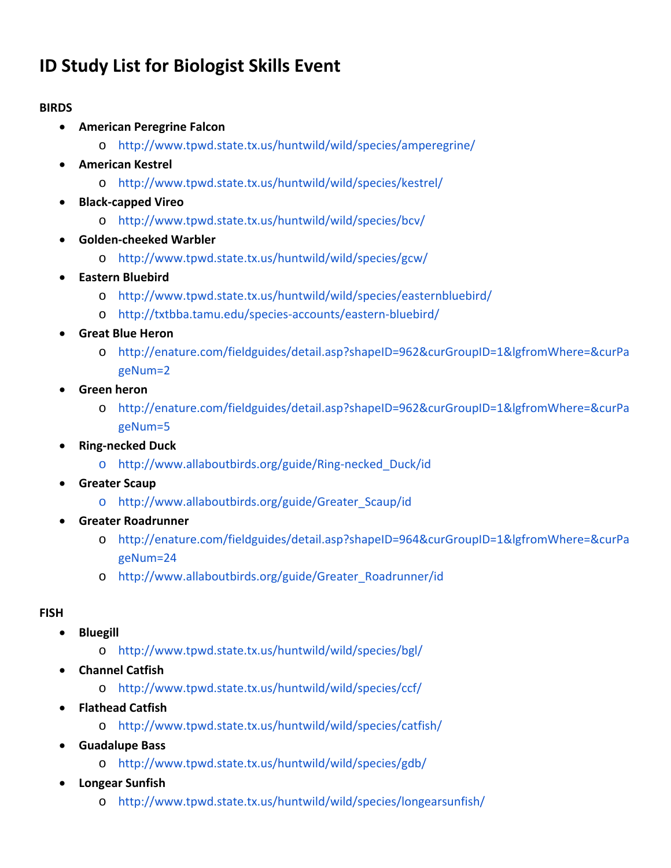# **ID Study List for Biologist Skills Event**

# **BIRDS**

- **American Peregrine Falcon**
	- o http://www.tpwd.state.tx.us/huntwild/wild/species/amperegrine/
- **American Kestrel**
	- o http://www.tpwd.state.tx.us/huntwild/wild/species/kestrel/
- **Black‐capped Vireo**
	- o http://www.tpwd.state.tx.us/huntwild/wild/species/bcv/
- **Golden‐cheeked Warbler**
	- o http://www.tpwd.state.tx.us/huntwild/wild/species/gcw/
- **Eastern Bluebird**
	- o http://www.tpwd.state.tx.us/huntwild/wild/species/easternbluebird/
	- o http://txtbba.tamu.edu/species‐accounts/eastern‐bluebird/
- **Great Blue Heron**
	- o http://enature.com/fieldguides/detail.asp?shapeID=962&curGroupID=1&lgfromWhere=&curPa geNum=2
- **Green heron**
	- o http://enature.com/fieldguides/detail.asp?shapeID=962&curGroupID=1&lgfromWhere=&curPa geNum=5
- **Ring‐necked Duck**
	- o http://www.allaboutbirds.org/guide/Ring‐necked\_Duck/id
- **Greater Scaup**
	- o http://www.allaboutbirds.org/guide/Greater\_Scaup/id
- **Greater Roadrunner**
	- o http://enature.com/fieldguides/detail.asp?shapeID=964&curGroupID=1&lgfromWhere=&curPa geNum=24
	- o http://www.allaboutbirds.org/guide/Greater\_Roadrunner/id

# **FISH**

- **•** Bluegill
	- o http://www.tpwd.state.tx.us/huntwild/wild/species/bgl/
- **Channel Catfish**
	- o http://www.tpwd.state.tx.us/huntwild/wild/species/ccf/
- **Flathead Catfish**
	- o http://www.tpwd.state.tx.us/huntwild/wild/species/catfish/
- **Guadalupe Bass**
	- o http://www.tpwd.state.tx.us/huntwild/wild/species/gdb/
- **Longear Sunfish**
	- o http://www.tpwd.state.tx.us/huntwild/wild/species/longearsunfish/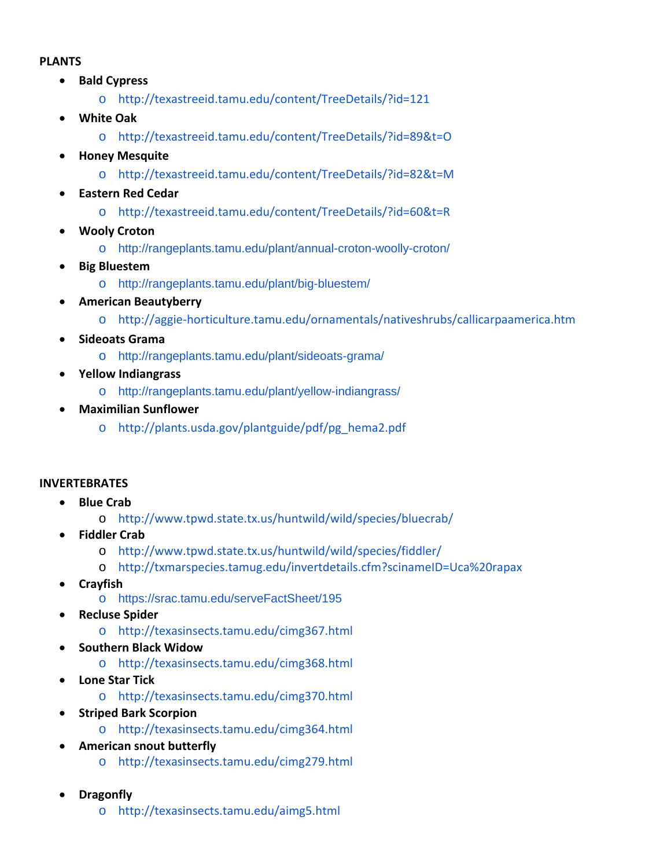### **PLANTS**

- **Bald Cypress**
	- o http://texastreeid.tamu.edu/content/TreeDetails/?id=121
- **White Oak**
	- o http://texastreeid.tamu.edu/content/TreeDetails/?id=89&t=O
- **Honey Mesquite**
	- o http://texastreeid.tamu.edu/content/TreeDetails/?id=82&t=M
- **Eastern Red Cedar**
	- o http://texastreeid.tamu.edu/content/TreeDetails/?id=60&t=R
- **Wooly Croton**
	- o http://rangeplants.tamu.edu/plant/annual-croton-woolly-croton/
- **Big Bluestem**
	- o http://rangeplants.tamu.edu/plant/big-bluestem/
- **American Beautyberry**
	- o http://aggie‐horticulture.tamu.edu/ornamentals/nativeshrubs/callicarpaamerica.htm
- **Sideoats Grama**
	- o http://rangeplants.tamu.edu/plant/sideoats-grama/
- **Yellow Indiangrass**
	- o http://rangeplants.tamu.edu/plant/yellow-indiangrass/
- **Maximilian Sunflower**
	- o http://plants.usda.gov/plantguide/pdf/pg\_hema2.pdf

# **INVERTEBRATES**

- **Blue Crab**
	- o http://www.tpwd.state.tx.us/huntwild/wild/species/bluecrab/
- **Fiddler Crab**
	- o http://www.tpwd.state.tx.us/huntwild/wild/species/fiddler/
	- o http://txmarspecies.tamug.edu/invertdetails.cfm?scinameID=Uca%20rapax
- **Crayfish**
	- o https://srac.tamu.edu/serveFactSheet/195
- **Recluse Spider**
	- o http://texasinsects.tamu.edu/cimg367.html
- **Southern Black Widow**
	- o http://texasinsects.tamu.edu/cimg368.html
- **Lone Star Tick**
	- o http://texasinsects.tamu.edu/cimg370.html
- **Striped Bark Scorpion**
	- o http://texasinsects.tamu.edu/cimg364.html
- **American snout butterfly**
	- o http://texasinsects.tamu.edu/cimg279.html
- **Dragonfly**
	- o http://texasinsects.tamu.edu/aimg5.html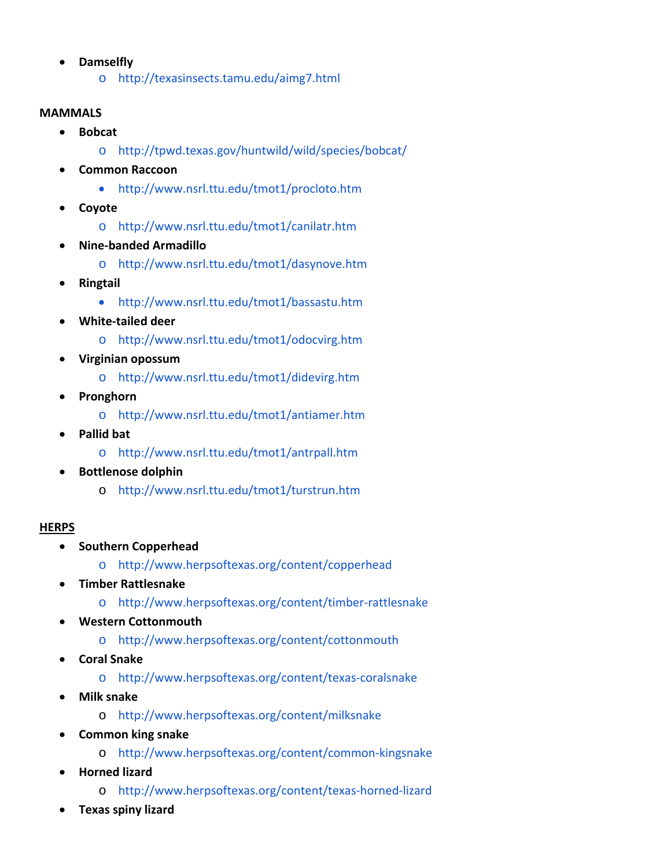- **Damselfly**
	- o http://texasinsects.tamu.edu/aimg7.html

### **MAMMALS**

- **Bobcat**
	- o http://tpwd.texas.gov/huntwild/wild/species/bobcat/
- **Common Raccoon**
	- http://www.nsrl.ttu.edu/tmot1/procloto.htm
- **Coyote**
	- o http://www.nsrl.ttu.edu/tmot1/canilatr.htm
- **Nine‐banded Armadillo**
	- o http://www.nsrl.ttu.edu/tmot1/dasynove.htm
- **Ringtail**
	- http://www.nsrl.ttu.edu/tmot1/bassastu.htm
- **White‐tailed deer**
	- o http://www.nsrl.ttu.edu/tmot1/odocvirg.htm
- **Virginian opossum**
	- o http://www.nsrl.ttu.edu/tmot1/didevirg.htm
- **Pronghorn**
	- o http://www.nsrl.ttu.edu/tmot1/antiamer.htm
- **Pallid bat**
	- o http://www.nsrl.ttu.edu/tmot1/antrpall.htm
- **Bottlenose dolphin**
	- o http://www.nsrl.ttu.edu/tmot1/turstrun.htm

# **HERPS**

- **•** Southern Copperhead
	- o http://www.herpsoftexas.org/content/copperhead
- **Timber Rattlesnake**
	- o http://www.herpsoftexas.org/content/timber‐rattlesnake
- **Western Cottonmouth**
	- o http://www.herpsoftexas.org/content/cottonmouth
- **Coral Snake**
	- o http://www.herpsoftexas.org/content/texas‐coralsnake
- **Milk snake**
	- o http://www.herpsoftexas.org/content/milksnake
- **Common king snake**
	- o http://www.herpsoftexas.org/content/common‐kingsnake
- **Horned lizard**
	- o http://www.herpsoftexas.org/content/texas‐horned‐lizard
- **Texas spiny lizard**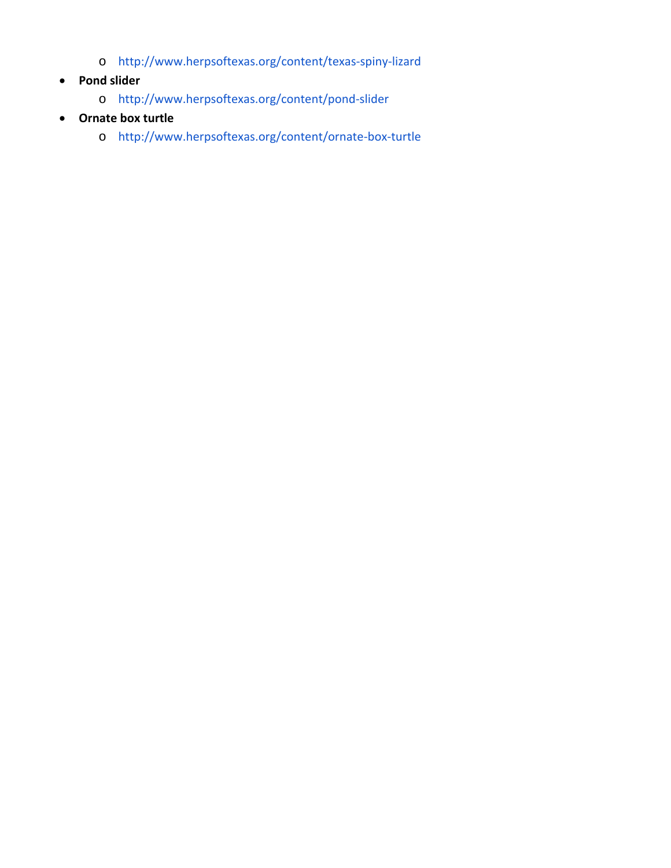- o http://www.herpsoftexas.org/content/texas‐spiny‐lizard
- **Pond slider**
	- o http://www.herpsoftexas.org/content/pond‐slider
- **Ornate box turtle**
	- o http://www.herpsoftexas.org/content/ornate‐box‐turtle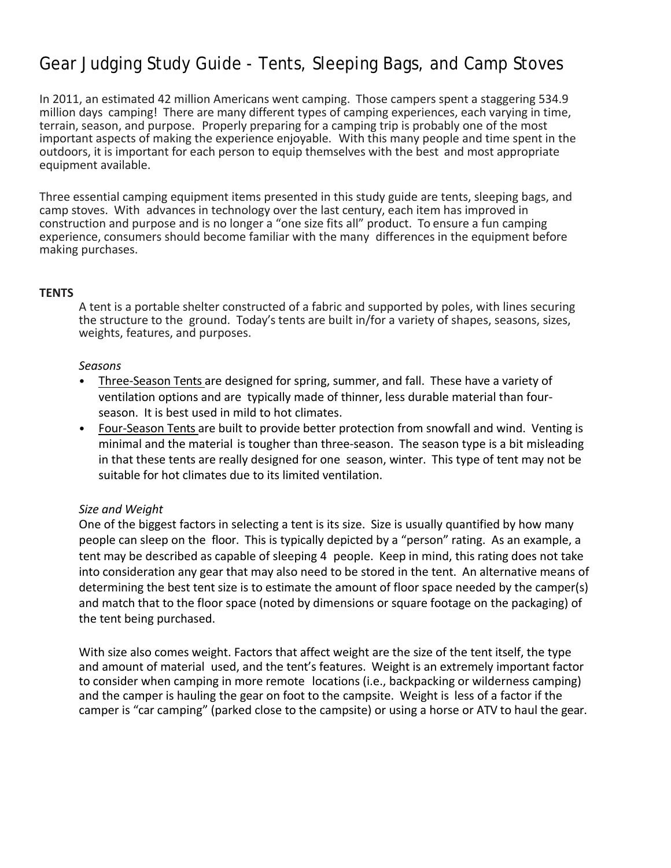# Gear Judging Study Guide - Tents, Sleeping Bags, and Camp Stoves

In 2011, an estimated 42 million Americans went camping. Those campers spent a staggering 534.9 million days camping! There are many different types of camping experiences, each varying in time, terrain, season, and purpose. Properly preparing for a camping trip is probably one of the most important aspects of making the experience enjoyable. With this many people and time spent in the outdoors, it is important for each person to equip themselves with the best and most appropriate equipment available.

Three essential camping equipment items presented in this study guide are tents, sleeping bags, and camp stoves. With advances in technology over the last century, each item has improved in construction and purpose and is no longer a "one size fits all" product. To ensure a fun camping experience, consumers should become familiar with the many differences in the equipment before making purchases.

### **TENTS**

A tent is a portable shelter constructed of a fabric and supported by poles, with lines securing the structure to the ground. Today's tents are built in/for a variety of shapes, seasons, sizes, weights, features, and purposes.

### *Seasons*

- Three‐Season Tents are designed for spring, summer, and fall. These have a variety of ventilation options and are typically made of thinner, less durable material than four‐ season. It is best used in mild to hot climates.
- Four‐Season Tents are built to provide better protection from snowfall and wind. Venting is minimal and the material is tougher than three‐season. The season type is a bit misleading in that these tents are really designed for one season, winter. This type of tent may not be suitable for hot climates due to its limited ventilation.

### *Size and Weight*

One of the biggest factors in selecting a tent is its size. Size is usually quantified by how many people can sleep on the floor. This is typically depicted by a "person" rating. As an example, a tent may be described as capable of sleeping 4 people. Keep in mind, this rating does not take into consideration any gear that may also need to be stored in the tent. An alternative means of determining the best tent size is to estimate the amount of floor space needed by the camper(s) and match that to the floor space (noted by dimensions or square footage on the packaging) of the tent being purchased.

With size also comes weight. Factors that affect weight are the size of the tent itself, the type and amount of material used, and the tent's features. Weight is an extremely important factor to consider when camping in more remote locations (i.e., backpacking or wilderness camping) and the camper is hauling the gear on foot to the campsite. Weight is less of a factor if the camper is "car camping" (parked close to the campsite) or using a horse or ATV to haul the gear.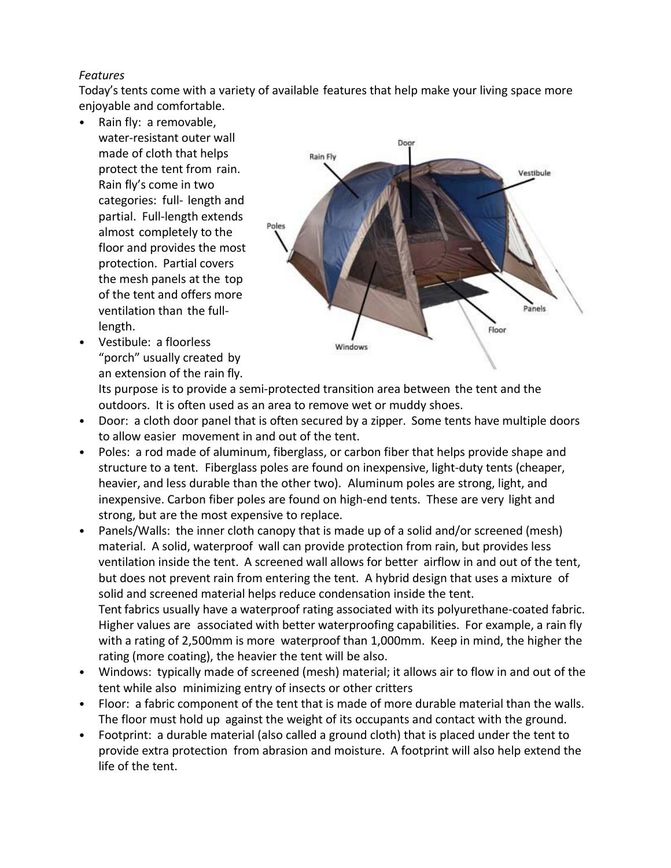# *Features*

Today's tents come with a variety of available features that help make your living space more enjoyable and comfortable.

- Rain fly: a removable, water‐resistant outer wall made of cloth that helps protect the tent from rain. Rain fly's come in two categories: full‐ length and partial. Full‐length extends almost completely to the floor and provides the most protection. Partial covers the mesh panels at the top of the tent and offers more ventilation than the full‐ length.
- Vestibule: a floorless "porch" usually created by an extension of the rain fly.



Its purpose is to provide a semi‐protected transition area between the tent and the outdoors. It is often used as an area to remove wet or muddy shoes.

- Door: a cloth door panel that is often secured by a zipper. Some tents have multiple doors to allow easier movement in and out of the tent.
- Poles: a rod made of aluminum, fiberglass, or carbon fiber that helps provide shape and structure to a tent. Fiberglass poles are found on inexpensive, light-duty tents (cheaper, heavier, and less durable than the other two). Aluminum poles are strong, light, and inexpensive. Carbon fiber poles are found on high-end tents. These are very light and strong, but are the most expensive to replace.
- Panels/Walls: the inner cloth canopy that is made up of a solid and/or screened (mesh) material. A solid, waterproof wall can provide protection from rain, but provides less ventilation inside the tent. A screened wall allows for better airflow in and out of the tent, but does not prevent rain from entering the tent. A hybrid design that uses a mixture of solid and screened material helps reduce condensation inside the tent. Tent fabrics usually have a waterproof rating associated with its polyurethane‐coated fabric. Higher values are associated with better waterproofing capabilities. For example, a rain fly with a rating of 2,500mm is more waterproof than 1,000mm. Keep in mind, the higher the rating (more coating), the heavier the tent will be also.
- Windows: typically made of screened (mesh) material; it allows air to flow in and out of the tent while also minimizing entry of insects or other critters
- Floor: a fabric component of the tent that is made of more durable material than the walls. The floor must hold up against the weight of its occupants and contact with the ground.
- Footprint: a durable material (also called a ground cloth) that is placed under the tent to provide extra protection from abrasion and moisture. A footprint will also help extend the life of the tent.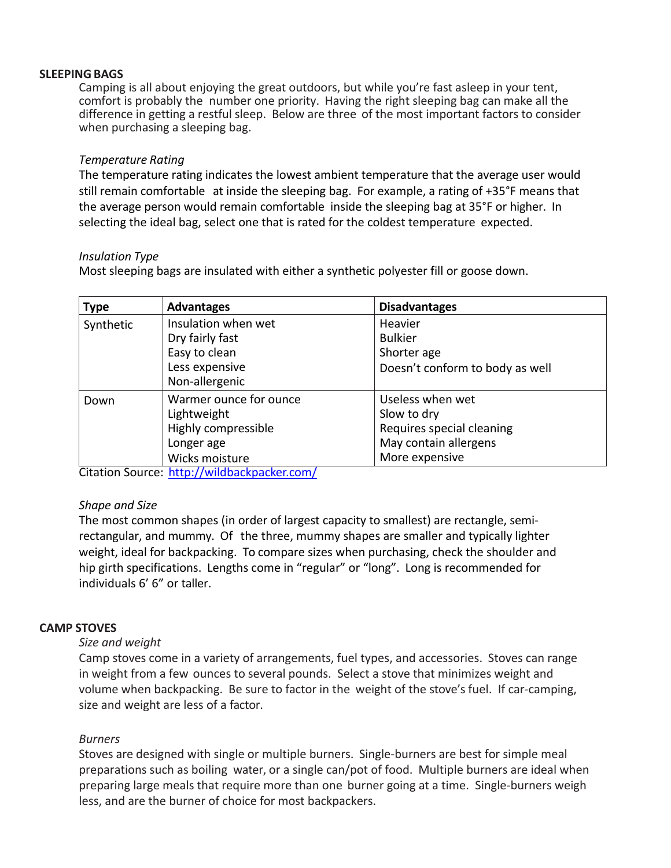### **SLEEPING BAGS**

Camping is all about enjoying the great outdoors, but while you're fast asleep in your tent, comfort is probably the number one priority. Having the right sleeping bag can make all the difference in getting a restful sleep. Below are three of the most important factors to consider when purchasing a sleeping bag.

### *Temperature Rating*

The temperature rating indicates the lowest ambient temperature that the average user would still remain comfortable at inside the sleeping bag. For example, a rating of +35°F means that the average person would remain comfortable inside the sleeping bag at 35°F or higher. In selecting the ideal bag, select one that is rated for the coldest temperature expected.

### *Insulation Type*

Most sleeping bags are insulated with either a synthetic polyester fill or goose down.

| <b>Type</b> | <b>Advantages</b>      | <b>Disadvantages</b>            |
|-------------|------------------------|---------------------------------|
| Synthetic   | Insulation when wet    | Heavier                         |
|             | Dry fairly fast        | <b>Bulkier</b>                  |
|             | Easy to clean          | Shorter age                     |
|             | Less expensive         | Doesn't conform to body as well |
|             | Non-allergenic         |                                 |
| Down        | Warmer ounce for ounce | Useless when wet                |
|             | Lightweight            | Slow to dry                     |
|             | Highly compressible    | Requires special cleaning       |
|             | Longer age             | May contain allergens           |
|             | Wicks moisture         | More expensive                  |

Citation Source: http://wildbackpacker.com/

### *Shape and Size*

The most common shapes (in order of largest capacity to smallest) are rectangle, semi‐ rectangular, and mummy. Of the three, mummy shapes are smaller and typically lighter weight, ideal for backpacking. To compare sizes when purchasing, check the shoulder and hip girth specifications. Lengths come in "regular" or "long". Long is recommended for individuals 6' 6" or taller.

### **CAMP STOVES**

### *Size and weight*

Camp stoves come in a variety of arrangements, fuel types, and accessories. Stoves can range in weight from a few ounces to several pounds. Select a stove that minimizes weight and volume when backpacking. Be sure to factor in the weight of the stove's fuel. If car-camping, size and weight are less of a factor.

### *Burners*

Stoves are designed with single or multiple burners. Single‐burners are best for simple meal preparations such as boiling water, or a single can/pot of food. Multiple burners are ideal when preparing large meals that require more than one burner going at a time. Single‐burners weigh less, and are the burner of choice for most backpackers.